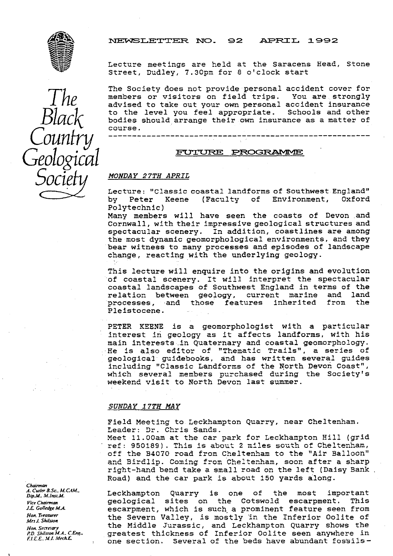NEWSLETTER NO. 92 APRIL 1992



Counfry

Geological

B

Lecture meetings are held at the Saracens Head, Stone Street, Dudley, 7.30pm for 8 o'clock start

The Society does not provide personal accident cover for members or visitors on field trips. You are strongly I he imembers or visitors on field trips. You are strongly<br>advised to take out your own personal accident insurance to the level you feel appropriate. Schools and other *LclCh* bodies should arrange their own insurance as a matter of course. PRC7G^

---------------------------------\_\_--------------------

### Socie *MONDAY 27TH APRIL*

Lecture: "Classic coastal landforms of Southwest England"<br>by Peter Keene (Faculty of Environment, Oxford by Peter Keene (Faculty of Polytechnic)

Many members will have seen the coasts of Devon and Cornwall, with their impressive geological structures and spectacular scenery. In addition, coastlines are among the most dynamic geomorphological environments, and they bear witness to many processes and episodes of landscape change, reacting with the underlying geology.

This lecture will enquire into the origins and evolution of coastal scenery. It will interpret the spectacular coastal landscapes of Southwest England in terms of the relation between geology, current marine and land<br>processes, and those features inherited from the those features Pleistocene.

PETER KEENE is a geomorphologist with a particular interest in geology as it affects landforms, with his main interests in Quaternary and coastal geomorphology. He is also editor of "Thematic Trails", a series of geological guidebooks, and has written several guides including "Classic Landforms of the North Devon Coast", which several members purchased during the Society's weekend visit to North Devon last summer.

### *SUNDAY 17TH MAY*

Field Meeting to. Leckhampton Quarry, near Cheltenham. Leader: Dr. Chris Sands.

Meet 11.00am at the car park for Leckhampton Hill (grid ref: 950189). This is about 2 miles south of Cheltenham, off the B4070 road from Cheltenham to the "Air Balloon" and Birdlip. Coming from Cheltenham, soon after a sharp right-hand bend take a small road on the left (Daisy Bank Road) and the car park is about 150 yards along.

Leckhampton Quarry is one of the most important<br>geological sites on the Cotswold escarpment. This *Vice Chairman* and geological sites on the Cotswold escarpment.<br>E Golledge M.A. escarpment, which is such a prominent feature seer *J.C. Colledge M.A.* escarpment, which is such a prominent feature seen from *Hon. Treasurer* **the Severn Valley, is mostly in the Inferior Oolite of** *Mrs. I. Shilston* Hon.Secretary the Middle Jurassic, and Leckhampton Quarry shows the Middle Jurassic, and Leckhampton Quarry shows the PD.Shilston M.A. C.Eng. *PD. Shuston M.A. C.Eng.* greatest thickness of Inferior Oolite seen anywhere in FLE.E. M.I. Mech.E.

Chairman *A.* **Cuiler B.Sc., M.CAM.,**<br>Dip.M., M.Inst.M.<br>Vice Chairman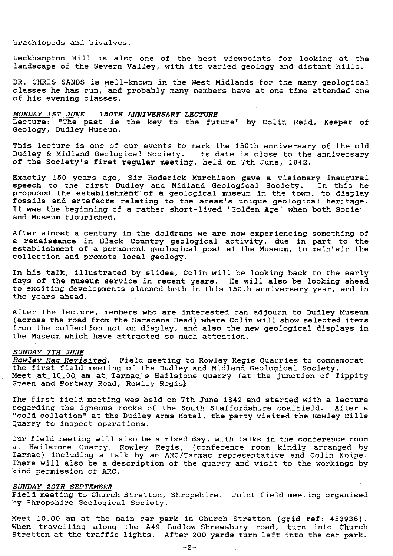#### brachiopods and bivalves.

Leckhampton Hill is also one of the best viewpoints for looking at the landscape of the Severn Valley, with its varied geology and distant hills.

DR. CHRIS SANDS is well-known in the West Midlands for the many geological classes he has run, and probably many members have at one time attended one of his evening classes.

*MONDAY 1ST JUNE 150TH ANNIVERSARY LECTURE* Lecture: "The past is the key to the future" by Colin Reid, Keeper of Geology, Dudley Museum.

This lecture is one of our events to mark the 150th anniversary of the old Dudley & Midland Geological Society. Its date is close to the anniversary of the Society's first regular meeting, held on 7th June, 1842.

Exactly 150 years ago, Sir Roderick Murchison gave a visionary inaugura. speech to the first Dudley and Midland Geological Society. In this he proposed the establishment of a geological museum in the town, to display fossils and artefacts relating to the areas's unique geological heritage. It was the beginning of a rather short-lived 'Golden Age' when both Societ and Museum flourished.

After almost a century in the doldrums we are now experiencing something of a renaissance in Black Country geological activity, due in part to the establishment of a permanent geological post at the Museum, to maintain the collection and promote local geology.

In his talk, illustrated by slides, Colin will be looking back to the early days of the museum service in recent years. He will also be looking ahead to exciting developments planned both in this 150th anniversary year, and in the years ahead.

After the lecture, members who are interested can adjourn to Dudley Museum (across the road from the Saracens Head) where Colin will show selected items from the collection not on display, and also the new geological displays in the Museum which have attracted so much attention.

# *SUNDAY 7TH JUNE*

*Rowley Rag Revisited. Field* meeting to Rowley Regis Quarries to commemorat the first field meeting of the Dudley and Midland Geological Society. Meet at 10.00 am at Tarmac's Hailstone Quarry (at the junction of Tippity Green and Portway Road, Rowley Regis)

The first field meeting was held on 7th June 1842 and started with a lecture regarding the igneous rocks of the South Staffordshire coalfield. After a "cold collation" at the Dudley Arms Hotel, the party visited the Rowley **Hills** Quarry to inspect operations.

Our field meeting, will also be a mixed day, with talks in the conference room at Hailstone Quarry, Rowley Regis, (conference room kindly arranged by Tarmac) including a talk by an ARC/Tarmac representative and *Colin Knipe.* There will also be a description of the quarry and visit to the workings by kind permission of ARC.

#### *SUNDAY 20TH SEPTEMBER*

Field meeting to Church Stretton, Shropshire. Joint field meeting organised by Shropshire Geological Society.

Meet 10.00 am at the main car park in *Church* Stretton (grid ref: 453936) . When travelling along the A49 Ludlow-Shrewsbury road, turn into Church Stretton at the traffic lights. After 200 yards turn left into the car park.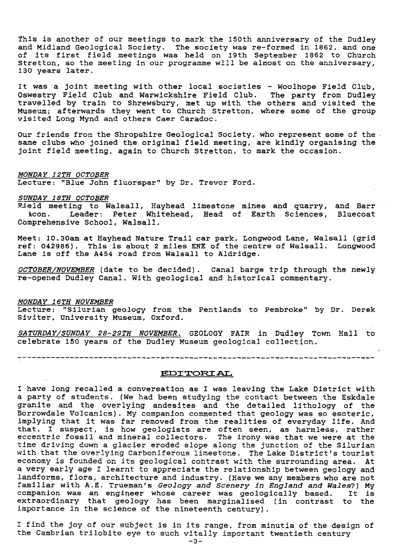This is another of our meetings to mark the 150th anniversary of the Dudley and Midland Geological Society. The society was re-formed in 1862, and one of its first field meetings was held on 19th September 1862 to Church Stretton, so the meeting in our programme will be almost on the anniversary, 130 years later.

It was a joint meeting with other local societies - Woolhope Field Club, Oswestry Field Club and Warwickshire Field Club. The party from Dudley travelled by train to Shrewsbury, met up with the others and visited the Museum; afterwards they went to Church Stretton, where some of the group visited Long Mynd and others Caer Caradoc.

Our friends from the Shropshire Geological Society, who represent some of the same clubs who joined the original field meeting, are kindly organising the joint field meeting, again to Church Stretton, to mark the occasion.

#### *MONDAY 12TH OCTOBER*

Lecture: "Blue John fluorspar" by Dr. Trevor Ford.

#### *SUNDAY 18TH OCTOBER*

Field meeting to Walsall, Hayhead limestone mines and quarry, and Barr icon. Leader: Peter Whitehead, Head of Earth Sciences, Bluecoat Comprehensive School, Walsall.

Meet: 10.30am at Hayhead Nature Trail car park, Longwood Lane, Walsall (grid ref: 042986). This is about 2 miles ENE of the centre of Walsall. Longwood Lane is off the A454 road from Walsall to Aldridge.

*OCTOBER NOVEMBER* (date to be decided). Canal barge trip through the newly re-opened Dudley Canal. With geological and historical commentary.

#### *MONDAY 16TH NOVEMBER*

Lecture: "Silurian geology from the Pentlands to Pembroke" by Dr. Derek Siviter, University Museum, Oxford.

*SATURDAY/SUNDAY 28--29TH NOVEMBER. GEOLOGY FAIR* in Dudley Town Hall to celebrate 150 years of the Dudley Museum geological collection.

EDITORIAL.

have long recalled a conversation as I was leaving the Lake District with a party of students. (We had been studying the contact between the Eskdale granite and the overlying andesites and the detailed lithology of the Borrowdale Volcanics). My companion commented that geology was so esoteric, implying that it was far removed from the realities of everyday life. And that, I suspect, is how geologists are often seen, as harmless, rather eccentric fossil and mineral collectors. The irony was that we were at the time driving down-a glacier eroded slope along the junction of the Silurian with that the overlying Carboniferous limestone. The Lake District's tourist economy is founded on its geological contrast with the surrounding area. At a very early age I learnt to appreciate the relationship between geology and landforms, flora, architecture and industry. (Have we any members who are not familiar with A.E. Trueman's *Geology and Scenery in England and Wales?)* My companion was an engineer whose career was geologically based. It is extraordinary that geology has been marginalised (in contrast to the importance in the science of the nineteenth century).

I find the joy of our subject is in its range, from minutia of the design of the Cambrian trilobite eye to such vitally important twentieth century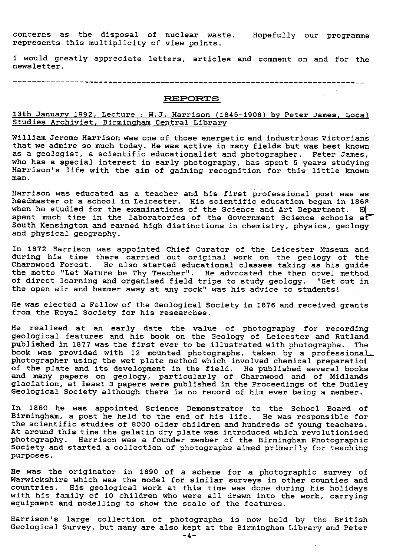concerns as the disposal of nuclear waste. Hopefully our programme represents this multiplicity of view points.

I would greatly appreciate letters, articles and comment on and for the newsletter.

### **REPORTS**

# 13th January 1992, Lecture : W.J. Harrison (1845-1908) by Peter James, Local Studies Archivist, Birmingham Central Library

William Jerome Harrison was one of those energetic and industrious Victorians that we admire so much today. He was active in many fields but was best known as a geologist, a scientific educationalist and photographer. Peter James, who has a special interest in early photography, has spent 5 years studying Harrison's life with the aim of gaining recognition for this little known man.

Harrison was educated as a teacher and his first professional post was as headmaster of a school in Leicester. His scientific education began in 1868 when he studied for the examinations of the Science and Art Department. H spent much time in the laboratories of the Government Science schools at South Kensington and earned high distinctions in chemistry, physics, geology and physical geography.

In 1872 Harrison was appointed Chief Curator of the Leicester Museum and during his time there carried out original work on the geology of the Charnwood Forest. He also started educational classes taking as his guide the motto "Let Nature be Thy Teacher". He advocated the then novel method of direct learning and organised field trips to study geology. "Get out in the open air and hammer away at any rock" was his advice to students!

He was elected a Fellow of the Geological Society in 1876 and received grants from the Royal Society for his researches.

He realised at an 'early date the value of photography for recording geological features and his book on the Geology of Leicester and Rutland published in 1877 was the first ever to be illustrated with photographs. The book was provided with 12 mounted photographs, taken by a professional photographer using the wet plate method which involved chemical preparatiol of the plate and its development in the field. He published several books and many papers on geology, particularly of Charnwood and of Midlands glaciation, at least 3 papers were published in the Proceedings of the Dudley Geological Society although there is no record of him ever being a member.

In 1880 he was appointed Science Demonstrator to the School Board of Birmingham, a post he held to the end of his life. He was responsible for the scientific studies of 8000 older children and hundreds of young teachers. At around this time the gelatin dry plate was introduced which revolutionised photography. Harrison was a founder member of the Birmingham Photographic Society and started a collection of photographs aimed primarily for teaching purposes.

He was the originator in 1890 of a scheme for a photographic survey of Warwickshire which was the model for similar surveys in other counties and countries. His geological work at this time was done during his holidays with his family of 10 children who were all drawn into the work, carrying equipment and modelling to show the scale of the features.

Harrison's large collection of photographs is now held by the British Geological Survey, but many are also kept at the Birmingham Library and Peter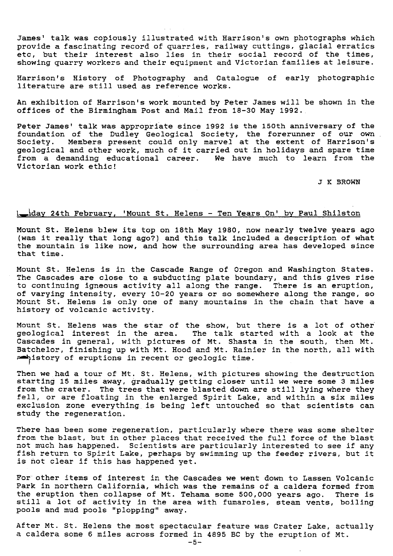James' talk was copiously illustrated with Harrison's own photographs which provide a fascinating record of quarries, railway cuttings, glacial erratics etc, but their interest also lies in their social record of the times, showing quarry workers and their equipment and Victorian families at leisure.

Harrison's History of Photography and Catalogue of early photographic literature are still used as reference works.

An exhibition of Harrison's work mounted by Peter James will be shown in the offices of the Birmingham Post and Mail from 18-30 May 1992..

Peter James' talk was appropriate since 1992 is the 150th anniversary of the foundation of the Dudley Geological Society, the forerunner of our own Society. Members present could only marvel at the extent of Harrison's geological and other work, much of it carried out in holidays and spare time from a demanding educational career. We have much to learn from the Victorian work ethic!

J K BROWN

## 1-day 24th February, 'Mount St. Helens - Ten Years On' by Paul Shilston

Mount St. Helens blew its top on 18th May 1980, now nearly twelve years ago (was it really that long ago?) and this talk included a description of what the mountain is like now, and how the surrounding area has developed since that time.

Mount St. Helens is in the Cascade Range of Oregon and Washington States. The Cascades are close to a subducting plate boundary, and this gives rise to continuing igneous activity all along the range. There is an eruption, of varying intensity, every 10-20 years or so somewhere along the range, so Mount St. Helens is only one of many mountains in the chain that have a history of volcanic activity.

Mount St. Helens was the star of the show, but there is a lot of other geological interest in the area. The talk started with a look at the Cascades in general, with pictures of Mt. Shasta in the south, then Mt. Batchelor, finishing up with Mt. Hood and Mt. Rainier in the north, all with antistory of eruptions in recent or geologic time.

Then we had a tour of Mt. St. Helens, with pictures showing the destruction starting 15 miles away, gradually getting closer until we were some 3 miles from the crater. The trees that were blasted down are still lying where they fell, or are floating in the enlarged Spirit Lake, and within a six miles exclusion zone everything is being left untouched so that scientists can study the regeneration.

There has been some regeneration, particularly where there was some shelter from the blast, but in other places that received the full force of the blast not much has happened. Scientists are particularly interested to see if any fish return to Spirit Lake, perhaps by swimming up the feeder rivers, but it is not clear if this has happened yet.

For other items of interest in the Cascades we went down to Lassen Volcanic Park in northern California, which was the remains of a caldera formed from the eruption then collapse of Mt. Tehama some 500,000 years ago. There is still a lot of activity in the area with fumaroles, steam vents, boiling pools and mud pools "plopping" away.

After Mt. St. Helens the most spectacular feature was Crater Lake, actually a caldera some 6 miles across formed in 4895 BC by the eruption of Mt.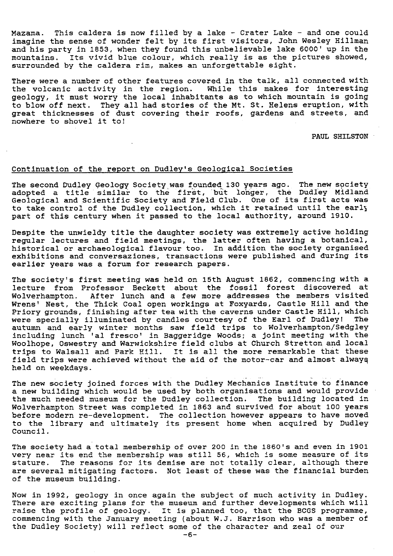Mazama. This caldera is now filled by a lake - Crater Lake - and one could imagine the sense of wonder felt by its first visitors, John Wesley Hillman and his party in 1853, when they found this unbelievable lake 6000' up in the mountains. Its vivid blue colour, which really is as the pictures showed, surrounded by the caldera rim, makes an unforgettable sight.

There were a number of other features covered in the talk, all connected with the volcanic activity in the region. While this makes for interesting geology, it must worry the local inhabitants as to which mountain is going to blow off next. They all had stories of the Mt. St. Helens eruption, with great thicknesses of dust covering their roofs, gardens and streets, and nowhere to shovel it to

PAUL SHILSTON -

# Continuation of the report on Dudley's Geological Societies

The second Dudley Geology Society was founded 130 years ago. The new society adopted a title similar to the first, but longer, the Dudley Midland Geological and Scientific Society and Field Club. One of its first acts was to take control of the Dudley collection, which it retained until the early part of this century when it passed to the local authority, around 1910.

Despite the unwieldy title the daughter society was extremely active holding regular lectures and field meetings, the latter often having a botanical, historical or archaeological *flavour* too. In addition the society organised exhibitions *and* conversaziones, transactions were published and during its earlier years was a forum for research papers.

The society's first meeting was held on 15th August 1862, commencing with a lecture from Professor Beckett about the fossil forest discovered at Wolverhampton. After lunch and a few more addresses the members visited Wrens' Nest, the Thick Coal open workings at Foxyards, Castle Hill and the Priory grounds, finishing after tea with the caverns under Castle Hill, which were specially illuminated by candles courtesy of the Earl of Dudley! The autumn and early winter months saw field trips to Wolverhampton/Sedgley including lunch 'al fresco' in Baggeridge Woods; a joint meeting with the Woolhope, Oswestry amd Warwickshire field clubs at Church Stretton and local trips to Walsall and Park Hill. It is all the more remarkable that these field trips were achieved without the aid of the motor-car and almost always held on weekdays.

The new society joined forces with the Dudley Mechanics Institute to finance a new building which would be used by both organisations and would provide the much needed museum for the Dudley collection. The building located in Wolverhampton Street was completed in 1863 and survived for about 100 years before modern re-development. The collection however appears to have moved to the library and ultimately its present home when acquired by Dudley Council.

The society had a total membership of over 200 in the 1860's and even in 1901 very near its end the membership was still 56, which is some measure of its stature. The reasons for its demise are not totally clear, although there are several mitigating factors. Not least of these was the financial burden of the museum building.

Now in 1992, geology in once again the subject of much activity in Dudley. There are exciting plans for the museum and further developments which will raise the profile of geology. It is planned too, that the BCGS programme, commencing with the January meeting (about W.J. Harrison who was a member of the Dudley Society) will reflect some of the character and zeal of our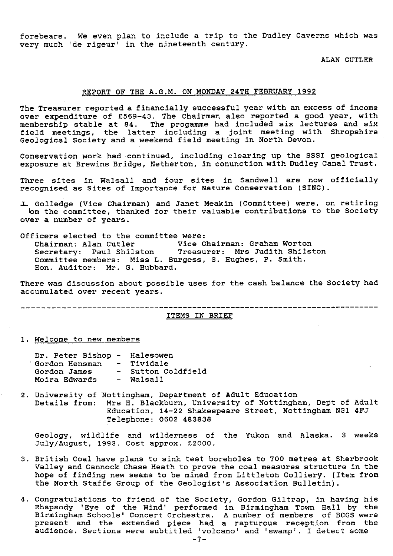forebears. We even plan to include a trip to the Dudley Caverns which was very much 'de rigeur' in the nineteenth century.

ALAN CUTLER

# REPORT OF THE A.G.M. ON MONDAY 24TH FEBRUARY 1992

The Treasurer reported a financially successful year with an excess of income over expenditure of £569-43. The Chairman also reported a good year, with membership stable at 84. The progamme had included six lectures and six field meetings, the latter including a joint meeting with Shropshire Geological Society and a weekend field meeting in North Devon.

Conservation work had continued, including clearing up the SSSI geological exposure at Brewins Bridge, Netherton, in conunction with Dudley Canal Trust.

Three sites in Walsall and four sites in Sandwell are now officially recognised **ae** Sites of Importance for Nature Conservation (SINC).

.L Golledge (Vice Chairman) and Janet Meakin (Committee) were, on retiring lom the committee, thanked for their valuable contributions to the Society over a number of years.

Officers elected to the committee were: Chairman: Alan Cutler Vice Chairman: Graham Worton Secretary: Paul Shilston Treasurer: Mrs Judith Shilston Committee members: Miss L. Burgess, S. Hughes, P. Smith. Hon. Auditor: Mr. G. Hubbard.

There was discussion about possible uses for the cash balance the Society had accumulated over recent years.

------- ---------------------------------------------------------------------

# ITEMS IN BRIEF

1. Welcome to new members

| Dr. Peter Bishop - Halesowen |     |                    |
|------------------------------|-----|--------------------|
| ' Gordon Hensman             |     | - Tividale         |
| Gordon James                 |     | - Sutton Coldfield |
| Moira Edwards                | $-$ | Walsall            |

2. University of Nottingham, Department of Adult Education Details from: Mrs H. Blackburn, University of Nottingham, Dept of Adult Education, 14-22 Shakespeare Street, Nottingham NG1 4F. Telephone: 0602 483838

Geology, wildlife and wilderness of the Yukon and Alaska. 3 weeks July/August, 1993. Cost approx. £2000.

- 3. British Coal have plans to sink test boreholes to 700 metres at Sherbrook Valley and Cannock Chase Heath to prove the coal measures structure in the hope of finding new seams to be mined from Littleton Colliery. (Item from the North Staffs Group of the Geologist's Association Bulletin).
- 4. Congratulations to friend of the Society, Gordon Giltrap, in having his Rhapsody 'Eye of the Wind' performed in Birmingham Town Hall by the Birmingham Schools' Concert Orchestra. A number of members of BCGS were present and the extended piece had a rapturous reception from the audience. Sections were subtitled 'volcano' and 'swamp'. I detect some